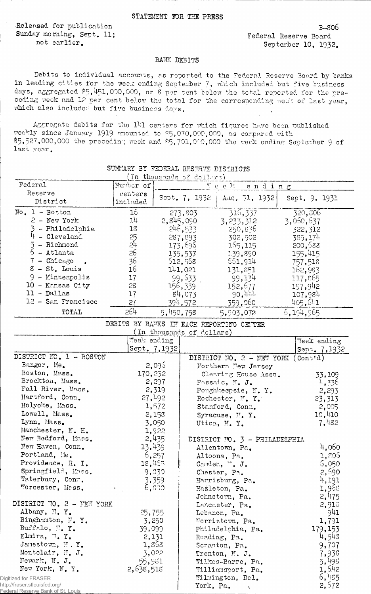Released for publication Sunday morning, Sept. 11; not earlier.

B-806 Federal Reserve Board September 10, 1932.

## BANK DEBITS

Debits to individual accounts, as reported to the Federal Reserve Board by banks in leading cities for the week ending September 7, which included but five business days, aggregated \$5,451,000,000, or 8 per cent below the total reported for the preceding week and 12 per cent below the total for the corresponding week of last year, which also included but five business days.

Aggregate debits for the 141 centers for which figures have been published weekly since January 1919 amounted to \$5,070,000,000, as compared with \$5,527,000,000 the preceding week and \$5,701,000,000 the week ending September 9 of last year.

|                                                                    |                                          |                | (In thousands of dollars) |                                    |        |               |
|--------------------------------------------------------------------|------------------------------------------|----------------|---------------------------|------------------------------------|--------|---------------|
| Federal                                                            | Number of                                |                |                           | Teek                               | ending |               |
| Reserve                                                            | centers                                  |                | Sept. 7, 1932             | Aug. $[31, 1932]$                  |        | Sept. 9, 1931 |
| District                                                           | included                                 |                |                           |                                    |        |               |
| $No. 1 - Boston$                                                   | $\overline{15}$                          |                | 273,803                   | 316,337                            |        | 320,806       |
| $2$ - New York                                                     | 14                                       |                | 2,845,090                 | 3, 233, 312                        |        | 3,060,637     |
| - Philadelphia                                                     | 18                                       |                | 246,533                   | 250,836                            |        | 322,312       |
| 4 - Cleveland                                                      | 25                                       |                | 287,893                   | 302,502                            |        | 385,174       |
| 5 - Richmond                                                       | 2 <sup>1</sup>                           |                | 173,696                   | 165,115                            |        | 200,588       |
| $6 -$ Atlanta                                                      | 26                                       |                | 135,537                   | 139,890                            |        | 155,415       |
| $7 -$ Chicago<br>$\bullet$                                         | 36                                       |                | 612,568                   | 661,914                            |        | 757,518       |
| $8 - St.$ Louis                                                    | 16                                       |                | 141,021                   | 131,851                            |        | 162,983       |
| $9 -$ Minneapolis                                                  | 17                                       |                | 99,633                    | 99,134                             |        | 117,865       |
| 10 - Kansas City                                                   | 28                                       |                | 156,339                   | 152,677                            |        | 197,942       |
| $11 - Dalls$                                                       | 17                                       |                | 84,073                    | 90,444                             |        | 107,984       |
| 12 - San Francisco                                                 | 27                                       |                | 394,572                   | 359,060                            |        | 405, 641      |
| TOTAL                                                              | 264                                      | 5,450,758      |                           | 5,903,072                          |        | 6,194,965     |
|                                                                    | DEBITS BY BAMKS IN EACH REPORTING CENTER |                |                           |                                    |        |               |
|                                                                    |                                          |                | (In thousands of dollars) |                                    |        |               |
|                                                                    | Week ending                              |                |                           |                                    |        | Veek ending   |
|                                                                    |                                          | Sept. 7, 1932) |                           |                                    |        | Sept. 7,1932  |
| DISTRICT NO. 1 - BOSTON                                            |                                          |                |                           | DISTRICT NO. 2 - NEW YORK (Contid) |        |               |
| Bangor, Me.                                                        |                                          | 2,095          |                           | Northern New Jersey                |        |               |
| Boston, Mass.                                                      | 170,232                                  |                |                           | Clearing House Assn.               |        | 33,109        |
| Brockton, Mass.                                                    |                                          | 2,297          |                           | Passaic, N. J.                     |        | 4,336         |
| Fall River, Mass.                                                  |                                          | 2,319          |                           | Poughkeepsie, N.Y.                 |        | 2,293         |
| Hartford, Conn.                                                    |                                          | 27,492         |                           | Rochester, M.Y.                    |        | 23,313        |
| Holyoke, Mass.                                                     |                                          | 1,572          |                           | Stamford, Conn.                    |        | 2,005         |
| Lowell, Mass.                                                      |                                          | 2,158          |                           | Syracuse, N.Y.                     |        | 10,410        |
| Lynn, Mass.                                                        |                                          | 3,050          |                           | Utica, N.Y.                        |        | 7,482         |
| Manchester, N. H.                                                  |                                          | 1,922          |                           |                                    |        |               |
| New Bedford, Mass.                                                 |                                          | 2,435          |                           | DISTRICT NO. 3 - PHILADELPHIA      |        |               |
| New Haven, Conn.                                                   | 13,439                                   |                |                           | Allentown, Pa.                     |        | 4,060         |
| Portland, Me.                                                      |                                          | 6,257          |                           | Altoona, Pa.                       |        | 1,805         |
| Providence, R. I.                                                  | 18,455                                   |                |                           | Canden, ".J.                       |        | 5,050         |
| Springfield, Mass.                                                 |                                          | 9,530          |                           | Chester, Pa.                       |        | 2,690         |
| Waterbury, Conn.                                                   |                                          | 3,359          |                           | Harrisburg, Pa.                    |        | 4,191         |
| morcester, Mass.                                                   |                                          | 6,633          |                           | Hazleton, Pa.                      |        | 1,955         |
|                                                                    |                                          |                |                           | Johnstown, Pa.                     |        | 2,475         |
| DISTRICT NO. 2 - MEW YORK                                          |                                          |                |                           | Lancaster, Pa.                     |        | 2,913         |
| Albany, M.Y.                                                       | 25,755                                   |                |                           | Lebanon, Pa.                       |        | 941           |
| Binghamton, N.Y.                                                   | 3,250                                    |                |                           | Morristown, Pa.                    |        | 1,791         |
| Buffalo, N.Y.                                                      | 39,099                                   |                |                           | Philadelphia, Pa.                  |        | 179,153       |
| Elmira, $\mathbb{N}$ . Y.                                          |                                          | 2,131          |                           | Reading, Pa.                       |        | 4,543         |
| Jamestown, M.Y.                                                    | 1,858                                    |                |                           | Scranton, Pa.                      |        | 9,707         |
| Montclair, N. J.                                                   | 3,022                                    |                |                           | Trenton, N. J.                     |        | 7,938         |
| Newark, N. J.                                                      | 55,981                                   |                |                           | Wilkes-Barre, Pa.                  |        | 5,498         |
| New York, N. Y.                                                    | 2,638,518                                |                |                           | Williamsport, Pa.                  |        | 1,642         |
| Digitized for FRASER                                               |                                          |                |                           | Wilmington, Del.                   |        | 6,485         |
| http://fraser.stlouisfed.org/<br>Federal Reserve Bank of St. Louis |                                          |                | York, Pa.                 | $\mathbf{v}$                       |        | 2,672         |

SUMMARY BY FEDERAL RESERVE DISTRICTS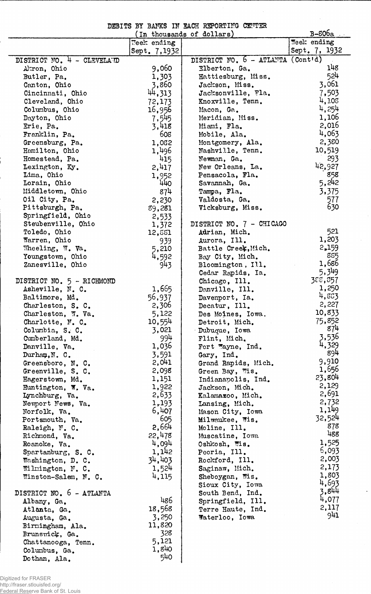|  |  |  | DEBITS BY BANKS IN EACH REPORTING CENTER |  |
|--|--|--|------------------------------------------|--|
|  |  |  |                                          |  |

|                                |              | (In thousands of dollars)         | B-806a             |
|--------------------------------|--------------|-----------------------------------|--------------------|
|                                | Week ending  |                                   | <b>Teek</b> ending |
|                                | Sept. 7,1932 |                                   | Sept. 7, 1932      |
| DISTRICT NO. 4 - CLEVELAND     |              | DISTRICT NO. 6 - ATLANTA (Cont'd) |                    |
| Akron, Ohio                    | 9,060        | Elberton, Ga.                     | 148                |
| Butler, Pa.                    | 1,303        | Hattiesburg, Miss.                | 524                |
| Canton, Ohio                   | 3,860        | Jackson, Miss.                    | 3,061              |
| Cincinnati, Ohio               | 44,313       | Jacksonville, Fla.                | 7,503              |
| Cleveland, Ohio                | 72,173       | Knoxville, Tenn.                  | 4,108              |
| Columbus, Ohio                 | 16,956       | Macon, Ga.                        | 4,254              |
| Dayton, Ohio                   | 7,545        | Meridian, Miss.                   | 1,106              |
| Erie, Pa.                      | 3,418        | Miami, Fla.                       | 2,016              |
| Franklin, Pa.                  | 608          | Mobile, Ala.                      | 4,063              |
|                                |              |                                   | 2,380              |
| Greensburg, Pa.                | 1,032        | Montgomery, Ala.                  | 10,519             |
| Hamilton, Ohio                 | 1,496        | Nashville, Tenn.                  |                    |
| Homestead, Pa.                 | 415          | Newman, Ga.                       | 293                |
| Lexington, Ky.                 | 2,417        | New Orleans, La.                  | 42,927             |
| Lima, Ohio                     | 1,952        | Pensacola, Fla.                   | 858                |
| Lorain, Ohio                   | 440          | Savannah, Ga.                     | 5,242              |
| Middletown, Ohio               | 874          | Tampa, Fla.                       | 3,375              |
| Oil City, Pa.                  | 2,230        | Valdosta, Ga.                     | 577                |
| Pittsburgh, Pa.                | 89,281       | Vicksburg, Miss.                  | 630                |
| Springfield, Ohio              | 2,533        |                                   |                    |
| Steubenville, Ohio             | 1,372        | DISTRICT NO. 7 - CHICAGO          |                    |
| Toledo, Ohio                   | 12,551       | Adrian, Mich.                     | 521                |
| Warren, Ohio                   | 939          | Aurora, Ill.                      | 1,203              |
| Wheeling, $\nabla. \nabla a$ . | 5,210        | Battle Creek, Mich.               | 2,159              |
| Youngstown, Ohio               | 4,592        | Bay City, Mich.                   | 885                |
| Zanesville, Ohio               | 943          | Bloomington, Ill.                 | 1,686              |
|                                |              | Cedar Rapids, Ia.                 | 5,349              |
| DISTRICT NO. 5 - RICHMOND      |              | Chicago, Ill.                     | 388,857            |
| Asheville, N. C.               | 1,665        | Danville, Ill.                    | 1,250              |
| Baltimore, Md.                 | 56,937       | Davenport, Ia.                    | 4,833              |
| Charleston, S. C.              | 2,306        | Decatur, Ill.                     | 2,227              |
| Charleston, W. Va.             | 5,122        | Des Moines, Iowa.                 | 10,833             |
| Charlotte, N. C.               | 10,554       | Detroit, Mich.                    | 75,852             |
| Columbia, S. C.                | 3,021        | Dubuque, Iowa                     | 874                |
|                                | 994          |                                   | 3,536              |
| Cumberland, Md.                | 1,036        | Flint, Mich.                      | 4,329              |
| Danville, Va.                  |              | Fort Wayne, Ind.                  | 894                |
| Durham, N. C.                  | 3,591        | Gary, Ind.                        | 9,910              |
| Greensboro, N.C.               | 2,041        | Grand Rapids, Mich.               | 1,656              |
| Greenville, S. C.              | 2,098        | Green Bay, Wis.                   | 23,804             |
| Hagerstown, Md.                | 1,151        | Indianapolis, Ind.                | 2,129              |
| Huntington, W. Va.             | 1,922        | Jackson, Mich.                    |                    |
| Lynchburg, Va.                 | 2,633        | Kalamazoo, Mich.                  | 2,691              |
| Newport News, Va.              | 1,193        | Lansing, Mich.                    | 2,732              |
| Norfolk, Va.                   | 6,407        | Mason City, Iowa                  | 1,149              |
| Portsmouth, Va.                | 605          | Milwaukee, Wis.                   | 32,524             |
| Raleigh, N. C.                 | 2,664        | Moline, Ill.                      | 878                |
| Richmond, Va.                  | 22,478       | Muscatine, Iowa                   | 488                |
| Roanoke, Va.                   | 4,094        | Oshkosh, Wis.                     | 1,525              |
| Spartanburg, S. C.             | 1,142        | Peoria, Ill.                      | 6,093              |
| Washington, D. C.              | 34,403       | Rockford, Ill.                    | 2,003              |
| Wilmington, N. C.              | 1,524        | Saginaw, Mich.                    | 2,173              |
| Winston-Salem, N. C.           | 4,115        | Sheboygan, Wis.                   | 1,803              |
|                                |              | Sioux City, Iowa                  | 4,693              |
| DISTRICT NO. 6 - ATLANTA       |              | South Bend, Ind.                  | 3,844              |
| Albany, Ga.                    | 486          | Springfield, Ill.                 | 4,077              |
| Atlanta, Ga.                   | 18,568       | Terre Haute, Ind.                 | 2,117              |
| Augusta, Ga.                   | 3,250        | Waterloo, Iowa                    | 941                |
| Birmingham, Ala.               | 11,820       |                                   |                    |
| Brunswick, Ga.                 | 328          |                                   |                    |
|                                | 5,121        |                                   |                    |
| Chattanooga, Tenn.             | 1,840        |                                   |                    |
| Columbus, Ga.                  | 540          |                                   |                    |
| Dothan, Ala.                   |              |                                   |                    |

 $\ddot{\phantom{1}}$ 

Digitized for FRASER http://fraser.stlouisfed.org/ Federal Reserve Bank of St. Louis

į.